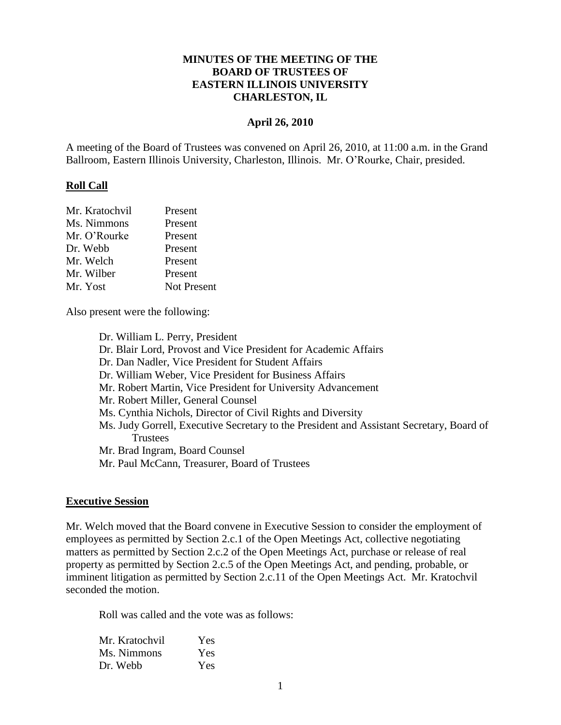### **MINUTES OF THE MEETING OF THE BOARD OF TRUSTEES OF EASTERN ILLINOIS UNIVERSITY CHARLESTON, IL**

#### **April 26, 2010**

A meeting of the Board of Trustees was convened on April 26, 2010, at 11:00 a.m. in the Grand Ballroom, Eastern Illinois University, Charleston, Illinois. Mr. O'Rourke, Chair, presided.

#### **Roll Call**

| Mr. Kratochvil | Present            |
|----------------|--------------------|
| Ms. Nimmons    | Present            |
| Mr. O'Rourke   | Present            |
| Dr. Webb       | Present            |
| Mr. Welch      | Present            |
| Mr. Wilber     | Present            |
| Mr. Yost       | <b>Not Present</b> |

Also present were the following:

Dr. William L. Perry, President Dr. Blair Lord, Provost and Vice President for Academic Affairs Dr. Dan Nadler, Vice President for Student Affairs Dr. William Weber, Vice President for Business Affairs Mr. Robert Martin, Vice President for University Advancement Mr. Robert Miller, General Counsel Ms. Cynthia Nichols, Director of Civil Rights and Diversity Ms. Judy Gorrell, Executive Secretary to the President and Assistant Secretary, Board of **Trustees** Mr. Brad Ingram, Board Counsel Mr. Paul McCann, Treasurer, Board of Trustees

#### **Executive Session**

Mr. Welch moved that the Board convene in Executive Session to consider the employment of employees as permitted by Section 2.c.1 of the Open Meetings Act, collective negotiating matters as permitted by Section 2.c.2 of the Open Meetings Act, purchase or release of real property as permitted by Section 2.c.5 of the Open Meetings Act, and pending, probable, or imminent litigation as permitted by Section 2.c.11 of the Open Meetings Act. Mr. Kratochvil seconded the motion.

Roll was called and the vote was as follows:

| Mr. Kratochvil | Yes        |
|----------------|------------|
| Ms. Nimmons    | <b>Yes</b> |
| Dr. Webb       | Yes        |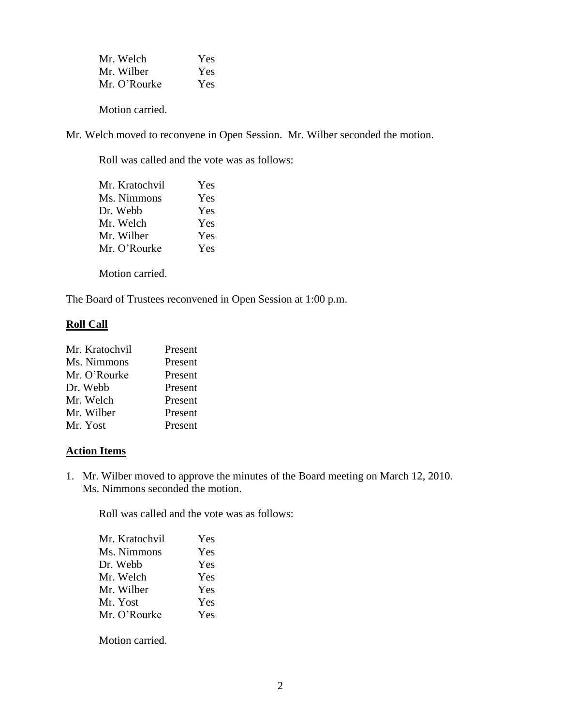| Mr. Welch    | Yes |
|--------------|-----|
| Mr. Wilber   | Yes |
| Mr. O'Rourke | Yes |

Motion carried.

Mr. Welch moved to reconvene in Open Session. Mr. Wilber seconded the motion.

Roll was called and the vote was as follows:

| Mr. Kratochvil | Yes        |
|----------------|------------|
| Ms. Nimmons    | Yes        |
| Dr. Webb       | Yes        |
| Mr. Welch      | Yes        |
| Mr. Wilber     | Yes        |
| Mr. O'Rourke   | <b>Yes</b> |
|                |            |

Motion carried.

The Board of Trustees reconvened in Open Session at 1:00 p.m.

#### **Roll Call**

| Mr. Kratochvil | Present |
|----------------|---------|
| Ms. Nimmons    | Present |
| Mr. O'Rourke   | Present |
| Dr. Webb       | Present |
| Mr. Welch      | Present |
| Mr. Wilber     | Present |
| Mr. Yost       | Present |

# **Action Items**

1. Mr. Wilber moved to approve the minutes of the Board meeting on March 12, 2010. Ms. Nimmons seconded the motion.

Roll was called and the vote was as follows:

| Mr. Kratochvil | Yes |
|----------------|-----|
| Ms. Nimmons    | Yes |
| Dr. Webb       | Yes |
| Mr. Welch      | Yes |
| Mr. Wilber     | Yes |
| Mr. Yost       | Yes |
| Mr. O'Rourke   | Yes |
|                |     |

Motion carried.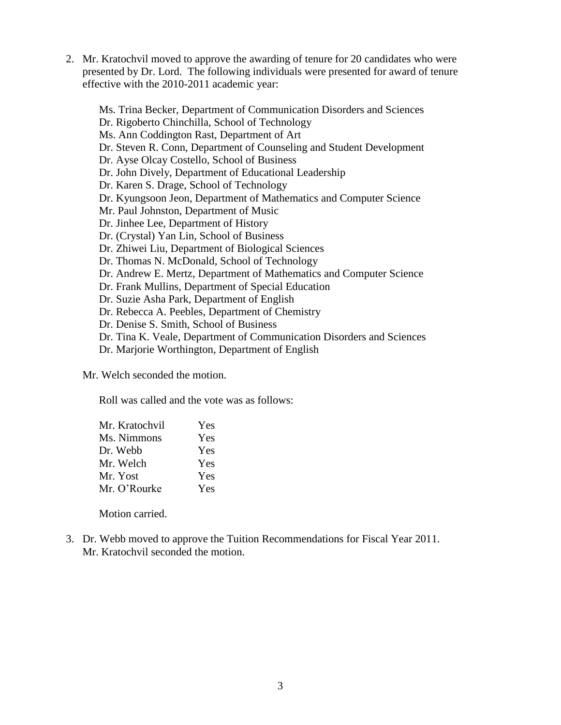2. Mr. Kratochvil moved to approve the awarding of tenure for 20 candidates who were presented by Dr. Lord. The following individuals were presented for award of tenure effective with the 2010-2011 academic year:

Ms. Trina Becker, Department of Communication Disorders and Sciences Dr. Rigoberto Chinchilla, School of Technology Ms. Ann Coddington Rast, Department of Art Dr. Steven R. Conn, Department of Counseling and Student Development Dr. Ayse Olcay Costello, School of Business Dr. John Dively, Department of Educational Leadership Dr. Karen S. Drage, School of Technology Dr. Kyungsoon Jeon, Department of Mathematics and Computer Science Mr. Paul Johnston, Department of Music Dr. Jinhee Lee, Department of History Dr. (Crystal) Yan Lin, School of Business Dr. Zhiwei Liu, Department of Biological Sciences Dr. Thomas N. McDonald, School of Technology Dr. Andrew E. Mertz, Department of Mathematics and Computer Science Dr. Frank Mullins, Department of Special Education Dr. Suzie Asha Park, Department of English Dr. Rebecca A. Peebles, Department of Chemistry Dr. Denise S. Smith, School of Business Dr. Tina K. Veale, Department of Communication Disorders and Sciences Dr. Marjorie Worthington, Department of English

Mr. Welch seconded the motion.

Roll was called and the vote was as follows:

| Mr. Kratochvil | Yes |
|----------------|-----|
| Ms. Nimmons    | Yes |
| Dr. Webb       | Yes |
| Mr. Welch      | Yes |
| Mr. Yost       | Yes |
| Mr. O'Rourke   | Yes |

Motion carried.

3. Dr. Webb moved to approve the Tuition Recommendations for Fiscal Year 2011. Mr. Kratochvil seconded the motion.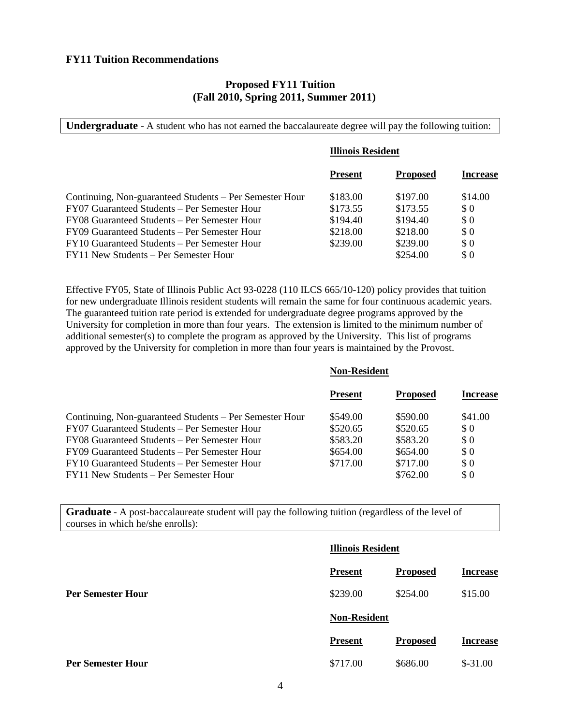#### **FY11 Tuition Recommendations**

#### **Proposed FY11 Tuition (Fall 2010, Spring 2011, Summer 2011)**

**Undergraduate** - A student who has not earned the baccalaureate degree will pay the following tuition:

| <b>Illinois Resident</b> |                 |                      |
|--------------------------|-----------------|----------------------|
| <b>Present</b>           | <b>Proposed</b> | <b>Increase</b>      |
| \$183.00                 | \$197.00        | \$14.00              |
| \$173.55                 |                 | \$0                  |
| \$194.40                 | \$194.40        | \$0                  |
| \$218.00                 | \$218.00        | \$0                  |
| \$239.00                 | \$239.00        | \$0                  |
|                          |                 | \$0                  |
|                          |                 | \$173.55<br>\$254.00 |

Effective FY05, State of Illinois Public Act 93-0228 (110 ILCS 665/10-120) policy provides that tuition for new undergraduate Illinois resident students will remain the same for four continuous academic years. The guaranteed tuition rate period is extended for undergraduate degree programs approved by the University for completion in more than four years. The extension is limited to the minimum number of additional semester(s) to complete the program as approved by the University. This list of programs approved by the University for completion in more than four years is maintained by the Provost.

|                                                         | <b>Non-Resident</b> |                 |                 |
|---------------------------------------------------------|---------------------|-----------------|-----------------|
|                                                         | <b>Present</b>      | <b>Proposed</b> | <b>Increase</b> |
| Continuing, Non-guaranteed Students – Per Semester Hour | \$549.00            | \$590.00        | \$41.00         |
| FY07 Guaranteed Students – Per Semester Hour            | \$520.65            | \$520.65        | \$0             |
| FY08 Guaranteed Students – Per Semester Hour            | \$583.20            | \$583.20        | \$0             |
| FY09 Guaranteed Students – Per Semester Hour            | \$654.00            | \$654.00        | \$0             |
| FY10 Guaranteed Students – Per Semester Hour            | \$717.00            | \$717.00        | \$0             |
| FY11 New Students – Per Semester Hour                   |                     | \$762.00        | $\Omega$        |
|                                                         |                     |                 |                 |

**Graduate -** A post-baccalaureate student will pay the following tuition (regardless of the level of courses in which he/she enrolls):

|                          | <b>Illinois Resident</b> |                 |                 |
|--------------------------|--------------------------|-----------------|-----------------|
|                          | <b>Present</b>           | <b>Proposed</b> | <b>Increase</b> |
| <b>Per Semester Hour</b> | \$239.00                 | \$254.00        | \$15.00         |
|                          | <b>Non-Resident</b>      |                 |                 |
|                          | <b>Present</b>           | <b>Proposed</b> | <b>Increase</b> |
| <b>Per Semester Hour</b> | \$717.00                 | \$686.00        | $$-31.00$       |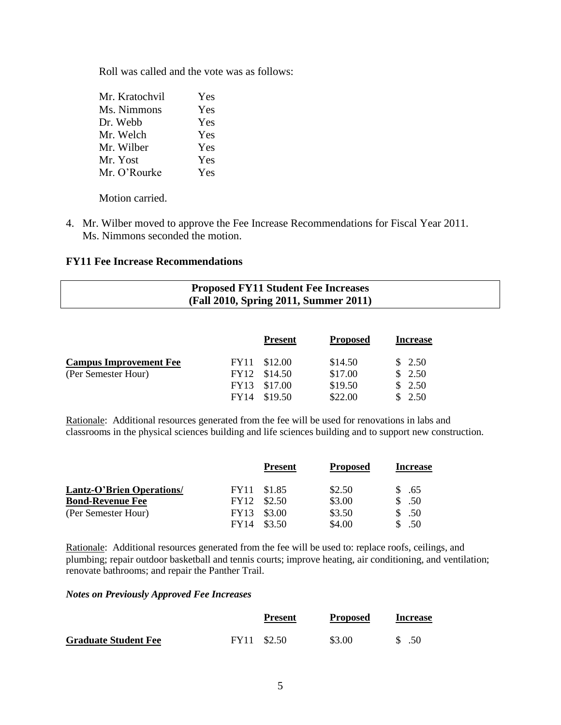Roll was called and the vote was as follows:

| Mr. Kratochvil | Yes |
|----------------|-----|
| Ms. Nimmons    | Yes |
| Dr. Webb       | Yes |
| Mr. Welch      | Yes |
| Mr. Wilber     | Yes |
| Mr. Yost       | Yes |
| Mr. O'Rourke   | Yes |

Motion carried.

4. Mr. Wilber moved to approve the Fee Increase Recommendations for Fiscal Year 2011. Ms. Nimmons seconded the motion.

### **FY11 Fee Increase Recommendations**

# **Proposed FY11 Student Fee Increases (Fall 2010, Spring 2011, Summer 2011)**

|                               |             | <b>Present</b> | <b>Proposed</b> | <b>Increase</b> |
|-------------------------------|-------------|----------------|-----------------|-----------------|
| <b>Campus Improvement Fee</b> |             | FY11 \$12.00   | \$14.50         | \$2.50          |
| (Per Semester Hour)           |             | FY12 \$14.50   | \$17.00         | \$2.50          |
|                               |             | FY13 \$17.00   | \$19.50         | \$2.50          |
|                               | <b>FY14</b> | \$19.50        | \$22.00         | 2.50            |

Rationale: Additional resources generated from the fee will be used for renovations in labs and classrooms in the physical sciences building and life sciences building and to support new construction.

|                                  |             | <b>Present</b> | <b>Proposed</b> | <b>Increase</b> |
|----------------------------------|-------------|----------------|-----------------|-----------------|
| <b>Lantz-O'Brien Operations/</b> |             | FY11 \$1.85    | \$2.50          | \$.65           |
| <b>Bond-Revenue Fee</b>          | FY12        | \$2.50         | \$3.00          | \$.50           |
| (Per Semester Hour)              | <b>FY13</b> | \$3.00         | \$3.50          | \$.50           |
|                                  | <b>FY14</b> | \$3.50         | \$4.00          | .50             |

Rationale: Additional resources generated from the fee will be used to: replace roofs, ceilings, and plumbing; repair outdoor basketball and tennis courts; improve heating, air conditioning, and ventilation; renovate bathrooms; and repair the Panther Trail.

#### *Notes on Previously Approved Fee Increases*

|                             | <b>Present</b> | <b>Proposed</b> | <b>Increase</b> |
|-----------------------------|----------------|-----------------|-----------------|
| <b>Graduate Student Fee</b> | FY11 \$2.50    | \$3.00          | .50             |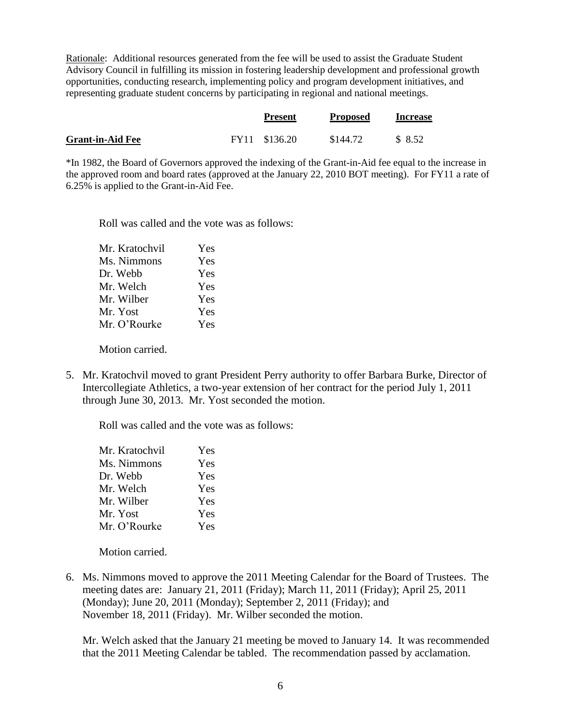Rationale: Additional resources generated from the fee will be used to assist the Graduate Student Advisory Council in fulfilling its mission in fostering leadership development and professional growth opportunities, conducting research, implementing policy and program development initiatives, and representing graduate student concerns by participating in regional and national meetings.

|                         | <b>Present</b> | <b>Proposed</b> | <b>Increase</b> |
|-------------------------|----------------|-----------------|-----------------|
| <b>Grant-in-Aid Fee</b> | FY11 \$136.20  | \$144.72        | \$8.52          |

\*In 1982, the Board of Governors approved the indexing of the Grant-in-Aid fee equal to the increase in the approved room and board rates (approved at the January 22, 2010 BOT meeting). For FY11 a rate of 6.25% is applied to the Grant-in-Aid Fee.

Roll was called and the vote was as follows:

| Mr. Kratochvil | Yes |
|----------------|-----|
| Ms. Nimmons    | Yes |
| Dr. Webb       | Yes |
| Mr. Welch      | Yes |
| Mr. Wilber     | Yes |
| Mr. Yost       | Yes |
| Mr. O'Rourke   | Yes |
|                |     |

Motion carried.

5. Mr. Kratochvil moved to grant President Perry authority to offer Barbara Burke, Director of Intercollegiate Athletics, a two-year extension of her contract for the period July 1, 2011 through June 30, 2013. Mr. Yost seconded the motion.

Roll was called and the vote was as follows:

| Yes |
|-----|
| Yes |
| Yes |
| Yes |
| Yes |
| Yes |
| Yes |
|     |

Motion carried.

6. Ms. Nimmons moved to approve the 2011 Meeting Calendar for the Board of Trustees. The meeting dates are: January 21, 2011 (Friday); March 11, 2011 (Friday); April 25, 2011 (Monday); June 20, 2011 (Monday); September 2, 2011 (Friday); and November 18, 2011 (Friday). Mr. Wilber seconded the motion.

Mr. Welch asked that the January 21 meeting be moved to January 14. It was recommended that the 2011 Meeting Calendar be tabled. The recommendation passed by acclamation.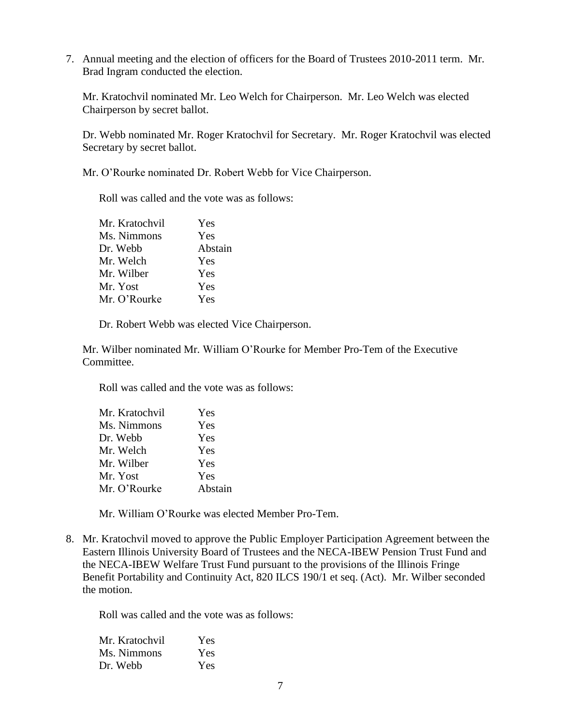7. Annual meeting and the election of officers for the Board of Trustees 2010-2011 term. Mr. Brad Ingram conducted the election.

Mr. Kratochvil nominated Mr. Leo Welch for Chairperson. Mr. Leo Welch was elected Chairperson by secret ballot.

Dr. Webb nominated Mr. Roger Kratochvil for Secretary. Mr. Roger Kratochvil was elected Secretary by secret ballot.

Mr. O'Rourke nominated Dr. Robert Webb for Vice Chairperson.

Roll was called and the vote was as follows:

| Mr. Kratochvil | Yes     |
|----------------|---------|
| Ms. Nimmons    | Yes     |
| Dr. Webb       | Abstain |
| Mr. Welch      | Yes     |
| Mr. Wilber     | Yes     |
| Mr. Yost       | Yes     |
| Mr. O'Rourke   | Yes     |
|                |         |

Dr. Robert Webb was elected Vice Chairperson.

Mr. Wilber nominated Mr. William O'Rourke for Member Pro-Tem of the Executive Committee.

Roll was called and the vote was as follows:

| Mr. Kratochvil | Yes     |
|----------------|---------|
| Ms. Nimmons    | Yes     |
| Dr. Webb       | Yes     |
| Mr. Welch      | Yes     |
| Mr. Wilber     | Yes     |
| Mr. Yost       | Yes     |
| Mr. O'Rourke   | Abstain |

Mr. William O'Rourke was elected Member Pro-Tem.

8. Mr. Kratochvil moved to approve the Public Employer Participation Agreement between the Eastern Illinois University Board of Trustees and the NECA-IBEW Pension Trust Fund and the NECA-IBEW Welfare Trust Fund pursuant to the provisions of the Illinois Fringe Benefit Portability and Continuity Act, 820 ILCS 190/1 et seq. (Act). Mr. Wilber seconded the motion.

Roll was called and the vote was as follows:

| Mr. Kratochvil | Yes |
|----------------|-----|
| Ms. Nimmons    | Yes |
| Dr. Webb       | Yes |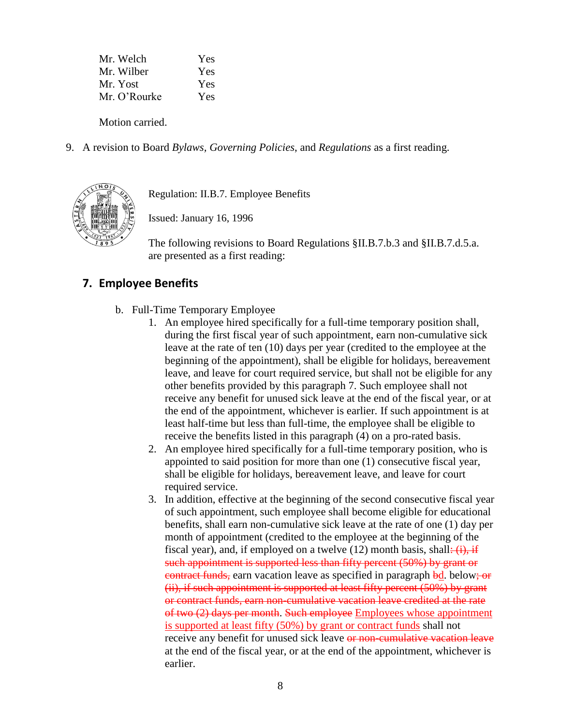| Yes        |
|------------|
| <b>Yes</b> |
| Yes        |
| Yes        |
|            |

Motion carried.

9. A revision to Board *Bylaws, Governing Policies*, and *Regulations* as a first reading.



Regulation: II.B.7. Employee Benefits

Issued: January 16, 1996

The following revisions to Board Regulations §II.B.7.b.3 and §II.B.7.d.5.a. are presented as a first reading:

# **7. Employee Benefits**

- b. Full-Time Temporary Employee
	- 1. An employee hired specifically for a full-time temporary position shall, during the first fiscal year of such appointment, earn non-cumulative sick leave at the rate of ten (10) days per year (credited to the employee at the beginning of the appointment), shall be eligible for holidays, bereavement leave, and leave for court required service, but shall not be eligible for any other benefits provided by this paragraph 7. Such employee shall not receive any benefit for unused sick leave at the end of the fiscal year, or at the end of the appointment, whichever is earlier. If such appointment is at least half-time but less than full-time, the employee shall be eligible to receive the benefits listed in this paragraph (4) on a pro-rated basis.
	- 2. An employee hired specifically for a full-time temporary position, who is appointed to said position for more than one (1) consecutive fiscal year, shall be eligible for holidays, bereavement leave, and leave for court required service.
	- 3. In addition, effective at the beginning of the second consecutive fiscal year of such appointment, such employee shall become eligible for educational benefits, shall earn non-cumulative sick leave at the rate of one (1) day per month of appointment (credited to the employee at the beginning of the fiscal year), and, if employed on a twelve  $(12)$  month basis, shall:  $(i)$ , if such appointment is supported less than fifty percent (50%) by grant or contract funds, earn vacation leave as specified in paragraph bd. below; or (ii), if such appointment is supported at least fifty percent (50%) by grant or contract funds, earn non-cumulative vacation leave credited at the rate of two (2) days per month. Such employee Employees whose appointment is supported at least fifty (50%) by grant or contract funds shall not receive any benefit for unused sick leave or non-cumulative vacation leave at the end of the fiscal year, or at the end of the appointment, whichever is earlier.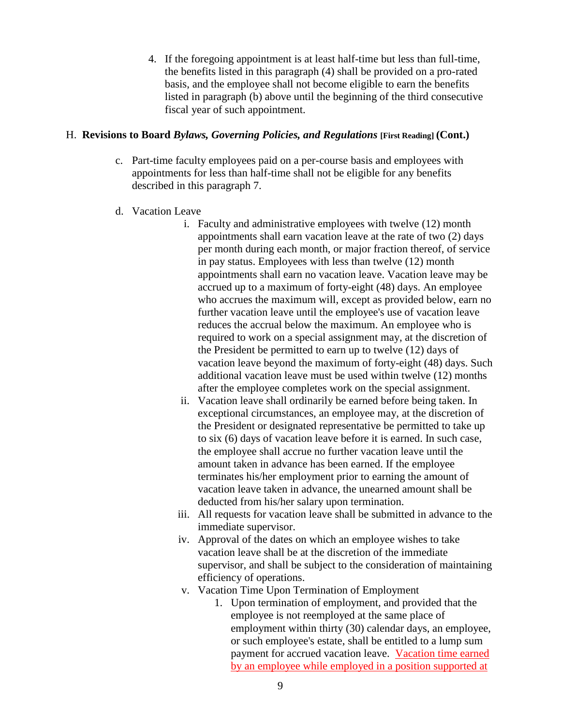4. If the foregoing appointment is at least half-time but less than full-time, the benefits listed in this paragraph (4) shall be provided on a pro-rated basis, and the employee shall not become eligible to earn the benefits listed in paragraph (b) above until the beginning of the third consecutive fiscal year of such appointment.

### H. **Revisions to Board** *Bylaws, Governing Policies, and Regulations* **[First Reading] (Cont.)**

- c. Part-time faculty employees paid on a per-course basis and employees with appointments for less than half-time shall not be eligible for any benefits described in this paragraph 7.
- d. Vacation Leave
	- i. Faculty and administrative employees with twelve (12) month appointments shall earn vacation leave at the rate of two (2) days per month during each month, or major fraction thereof, of service in pay status. Employees with less than twelve (12) month appointments shall earn no vacation leave. Vacation leave may be accrued up to a maximum of forty-eight (48) days. An employee who accrues the maximum will, except as provided below, earn no further vacation leave until the employee's use of vacation leave reduces the accrual below the maximum. An employee who is required to work on a special assignment may, at the discretion of the President be permitted to earn up to twelve (12) days of vacation leave beyond the maximum of forty-eight (48) days. Such additional vacation leave must be used within twelve (12) months after the employee completes work on the special assignment.
	- ii. Vacation leave shall ordinarily be earned before being taken. In exceptional circumstances, an employee may, at the discretion of the President or designated representative be permitted to take up to six (6) days of vacation leave before it is earned. In such case, the employee shall accrue no further vacation leave until the amount taken in advance has been earned. If the employee terminates his/her employment prior to earning the amount of vacation leave taken in advance, the unearned amount shall be deducted from his/her salary upon termination.
	- iii. All requests for vacation leave shall be submitted in advance to the immediate supervisor.
	- iv. Approval of the dates on which an employee wishes to take vacation leave shall be at the discretion of the immediate supervisor, and shall be subject to the consideration of maintaining efficiency of operations.
	- v. Vacation Time Upon Termination of Employment
		- 1. Upon termination of employment, and provided that the employee is not reemployed at the same place of employment within thirty (30) calendar days, an employee, or such employee's estate, shall be entitled to a lump sum payment for accrued vacation leave. Vacation time earned by an employee while employed in a position supported at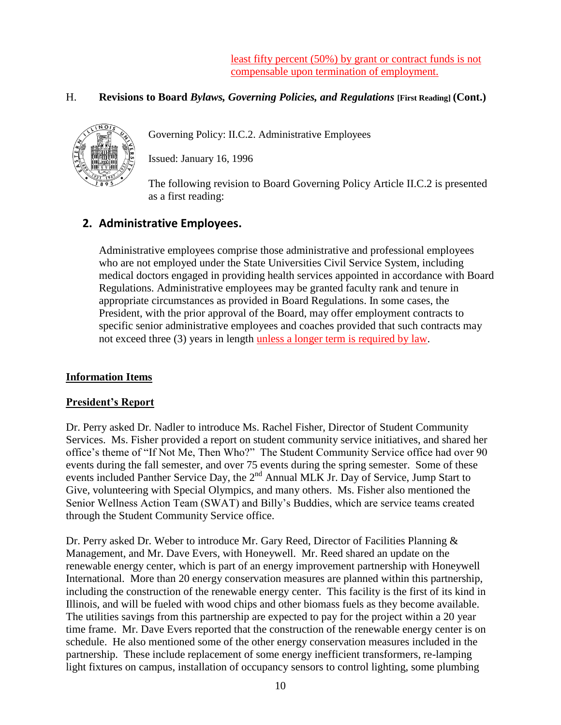least fifty percent (50%) by grant or contract funds is not compensable upon termination of employment.

## H. **Revisions to Board** *Bylaws, Governing Policies, and Regulations* **[First Reading] (Cont.)**



Governing Policy: II.C.2. Administrative Employees

Issued: January 16, 1996

The following revision to Board Governing Policy Article II.C.2 is presented as a first reading:

# **2. Administrative Employees.**

Administrative employees comprise those administrative and professional employees who are not employed under the State Universities Civil Service System, including medical doctors engaged in providing health services appointed in accordance with Board Regulations. Administrative employees may be granted faculty rank and tenure in appropriate circumstances as provided in Board Regulations. In some cases, the President, with the prior approval of the Board, may offer employment contracts to specific senior administrative employees and coaches provided that such contracts may not exceed three (3) years in length unless a longer term is required by law.

# **Information Items**

### **President's Report**

Dr. Perry asked Dr. Nadler to introduce Ms. Rachel Fisher, Director of Student Community Services. Ms. Fisher provided a report on student community service initiatives, and shared her office's theme of "If Not Me, Then Who?" The Student Community Service office had over 90 events during the fall semester, and over 75 events during the spring semester. Some of these events included Panther Service Day, the 2<sup>nd</sup> Annual MLK Jr. Day of Service, Jump Start to Give, volunteering with Special Olympics, and many others. Ms. Fisher also mentioned the Senior Wellness Action Team (SWAT) and Billy's Buddies, which are service teams created through the Student Community Service office.

Dr. Perry asked Dr. Weber to introduce Mr. Gary Reed, Director of Facilities Planning & Management, and Mr. Dave Evers, with Honeywell. Mr. Reed shared an update on the renewable energy center, which is part of an energy improvement partnership with Honeywell International. More than 20 energy conservation measures are planned within this partnership, including the construction of the renewable energy center. This facility is the first of its kind in Illinois, and will be fueled with wood chips and other biomass fuels as they become available. The utilities savings from this partnership are expected to pay for the project within a 20 year time frame. Mr. Dave Evers reported that the construction of the renewable energy center is on schedule. He also mentioned some of the other energy conservation measures included in the partnership. These include replacement of some energy inefficient transformers, re-lamping light fixtures on campus, installation of occupancy sensors to control lighting, some plumbing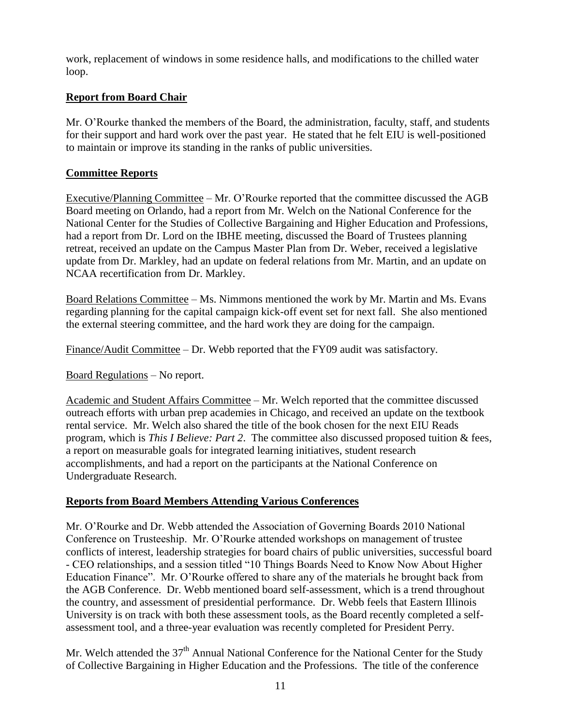work, replacement of windows in some residence halls, and modifications to the chilled water loop.

# **Report from Board Chair**

Mr. O'Rourke thanked the members of the Board, the administration, faculty, staff, and students for their support and hard work over the past year. He stated that he felt EIU is well-positioned to maintain or improve its standing in the ranks of public universities.

# **Committee Reports**

Executive/Planning Committee – Mr. O'Rourke reported that the committee discussed the AGB Board meeting on Orlando, had a report from Mr. Welch on the National Conference for the National Center for the Studies of Collective Bargaining and Higher Education and Professions, had a report from Dr. Lord on the IBHE meeting, discussed the Board of Trustees planning retreat, received an update on the Campus Master Plan from Dr. Weber, received a legislative update from Dr. Markley, had an update on federal relations from Mr. Martin, and an update on NCAA recertification from Dr. Markley.

Board Relations Committee – Ms. Nimmons mentioned the work by Mr. Martin and Ms. Evans regarding planning for the capital campaign kick-off event set for next fall. She also mentioned the external steering committee, and the hard work they are doing for the campaign.

Finance/Audit Committee – Dr. Webb reported that the FY09 audit was satisfactory.

Board Regulations – No report.

Academic and Student Affairs Committee – Mr. Welch reported that the committee discussed outreach efforts with urban prep academies in Chicago, and received an update on the textbook rental service. Mr. Welch also shared the title of the book chosen for the next EIU Reads program, which is *This I Believe: Part 2*. The committee also discussed proposed tuition & fees, a report on measurable goals for integrated learning initiatives, student research accomplishments, and had a report on the participants at the National Conference on Undergraduate Research.

# **Reports from Board Members Attending Various Conferences**

Mr. O'Rourke and Dr. Webb attended the Association of Governing Boards 2010 National Conference on Trusteeship. Mr. O'Rourke attended workshops on management of trustee conflicts of interest, leadership strategies for board chairs of public universities, successful board - CEO relationships, and a session titled "10 Things Boards Need to Know Now About Higher Education Finance". Mr. O'Rourke offered to share any of the materials he brought back from the AGB Conference. Dr. Webb mentioned board self-assessment, which is a trend throughout the country, and assessment of presidential performance. Dr. Webb feels that Eastern Illinois University is on track with both these assessment tools, as the Board recently completed a selfassessment tool, and a three-year evaluation was recently completed for President Perry.

Mr. Welch attended the 37<sup>th</sup> Annual National Conference for the National Center for the Study of Collective Bargaining in Higher Education and the Professions. The title of the conference